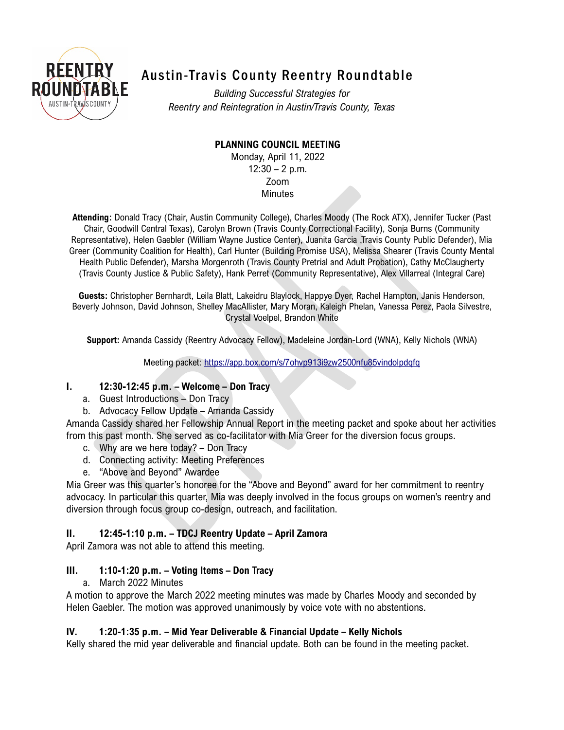

# Austin-Travis County Reentry Roundtable

*Building Successful Strategies for Reentry and Reintegration in Austin/Travis County, Texas*

## **PLANNING COUNCIL MEETING**

Monday, April 11, 2022  $12:30 - 2$  p.m. Zoom **Minutes** 

**Attending:** Donald Tracy (Chair, Austin Community College), Charles Moody (The Rock ATX), Jennifer Tucker (Past Chair, Goodwill Central Texas), Carolyn Brown (Travis County Correctional Facility), Sonja Burns (Community Representative), Helen Gaebler (William Wayne Justice Center), Juanita Garcia ,Travis County Public Defender), Mia Greer (Community Coalition for Health), Carl Hunter (Building Promise USA), Melissa Shearer (Travis County Mental Health Public Defender), Marsha Morgenroth (Travis County Pretrial and Adult Probation), Cathy McClaugherty (Travis County Justice & Public Safety), Hank Perret (Community Representative), Alex Villarreal (Integral Care)

**Guests:** Christopher Bernhardt, Leila Blatt, Lakeidru Blaylock, Happye Dyer, Rachel Hampton, Janis Henderson, Beverly Johnson, David Johnson, Shelley MacAllister, Mary Moran, Kaleigh Phelan, Vanessa Perez, Paola Silvestre, Crystal Voelpel, Brandon White

**Support:** Amanda Cassidy (Reentry Advocacy Fellow), Madeleine Jordan-Lord (WNA), Kelly Nichols (WNA)

Meeting packet:<https://app.box.com/s/7ohvp913i9zw2500nfu85vindolpdqfq>

#### **I. 12:30-12:45 p.m. – Welcome – Don Tracy**

- a. Guest Introductions Don Tracy
- b. Advocacy Fellow Update Amanda Cassidy

Amanda Cassidy shared her Fellowship Annual Report in the meeting packet and spoke about her activities from this past month. She served as co-facilitator with Mia Greer for the diversion focus groups.

- c. Why are we here today? Don Tracy
- d. Connecting activity: Meeting Preferences
- e. "Above and Beyond" Awardee

Mia Greer was this quarter's honoree for the "Above and Beyond" award for her commitment to reentry advocacy. In particular this quarter, Mia was deeply involved in the focus groups on women's reentry and diversion through focus group co-design, outreach, and facilitation.

## **II. 12:45-1:10 p.m. – TDCJ Reentry Update – April Zamora**

April Zamora was not able to attend this meeting.

## **III. 1:10-1:20 p.m. – Voting Items – Don Tracy**

a. March 2022 Minutes

A motion to approve the March 2022 meeting minutes was made by Charles Moody and seconded by Helen Gaebler. The motion was approved unanimously by voice vote with no abstentions.

## **IV. 1:20-1:35 p.m. – Mid Year Deliverable & Financial Update – Kelly Nichols**

Kelly shared the mid year deliverable and financial update. Both can be found in the meeting packet.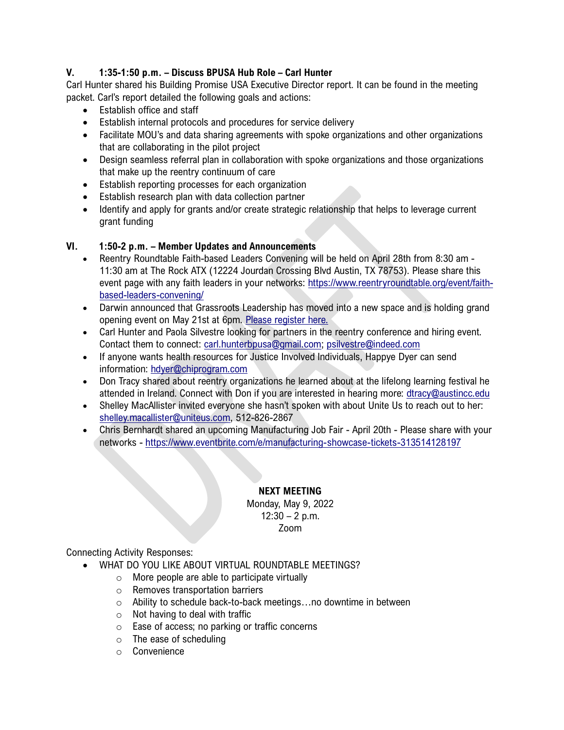#### **V. 1:35-1:50 p.m. – Discuss BPUSA Hub Role – Carl Hunter**

Carl Hunter shared his Building Promise USA Executive Director report. It can be found in the meeting packet. Carl's report detailed the following goals and actions:

- Establish office and staff
- Establish internal protocols and procedures for service delivery
- Facilitate MOU's and data sharing agreements with spoke organizations and other organizations that are collaborating in the pilot project
- Design seamless referral plan in collaboration with spoke organizations and those organizations that make up the reentry continuum of care
- Establish reporting processes for each organization
- Establish research plan with data collection partner
- Identify and apply for grants and/or create strategic relationship that helps to leverage current grant funding

#### **VI. 1:50-2 p.m. – Member Updates and Announcements**

- Reentry Roundtable Faith-based Leaders Convening will be held on April 28th from 8:30 am 11:30 am at The Rock ATX (12224 Jourdan Crossing Blvd Austin, TX 78753). Please share this event page with any faith leaders in your networks: [https://www.reentryroundtable.org/event/faith](https://nam02.safelinks.protection.outlook.com/?url=https%3A%2F%2Freentry-roundtable.mobilize.io%2Flinks%3Flid%3D3ahUuODEYcdtVaNL8YT8mQ%26token%3DXUfeeIQ2hlTrsPg59H-gEw%26url%3Dhttps%253A%252F%252Fwww.reentryroundtable.org%252Fevent%252Ffaith-based-leaders-convening%252F&data=04%7C01%7Cmadeleine%40woollardnichols.com%7Cb37387997d714a1495ff08da1d9ad752%7C86691c9e43744cba92038abb3f834121%7C0%7C0%7C637854848742670305%7CUnknown%7CTWFpbGZsb3d8eyJWIjoiMC4wLjAwMDAiLCJQIjoiV2luMzIiLCJBTiI6Ik1haWwiLCJXVCI6Mn0%3D%7C3000&sdata=pT1ZBu3kd1KJMTMMnwMDMjK0jQBByk82NNk%2BjO0wJdA%3D&reserved=0)[based-leaders-convening/](https://nam02.safelinks.protection.outlook.com/?url=https%3A%2F%2Freentry-roundtable.mobilize.io%2Flinks%3Flid%3D3ahUuODEYcdtVaNL8YT8mQ%26token%3DXUfeeIQ2hlTrsPg59H-gEw%26url%3Dhttps%253A%252F%252Fwww.reentryroundtable.org%252Fevent%252Ffaith-based-leaders-convening%252F&data=04%7C01%7Cmadeleine%40woollardnichols.com%7Cb37387997d714a1495ff08da1d9ad752%7C86691c9e43744cba92038abb3f834121%7C0%7C0%7C637854848742670305%7CUnknown%7CTWFpbGZsb3d8eyJWIjoiMC4wLjAwMDAiLCJQIjoiV2luMzIiLCJBTiI6Ik1haWwiLCJXVCI6Mn0%3D%7C3000&sdata=pT1ZBu3kd1KJMTMMnwMDMjK0jQBByk82NNk%2BjO0wJdA%3D&reserved=0)
- Darwin announced that Grassroots Leadership has moved into a new space and is holding grand opening event on May 21st at 6pm. [Please register here.](https://nam02.safelinks.protection.outlook.com/?url=https%3A%2F%2Freentry-roundtable.mobilize.io%2Flinks%3Flid%3D3ahUuODEYcdtVaNL8YT8mQ%26token%3DXUfeeIQ2hlTrsPg59H-gEw%26url%3Dhttps%253A%252F%252Fnam02.safelinks.protection.outlook.com%252F%253Furl%253Dhttps%25253A%25252F%25252Fclick.everyaction.com%25252Fk%25252F43935873%25252F339383336%25252F-818516589%25253Fcontactdata%25253DubN5b6gtrG4DOK6UZltb5VZoNJgWgdwzK3tQaWAYGgNtwxrrklkI7HywFbilLUL4XrKUgXgD0MP%25252BIYhDAjlkYRhc7yK0ioSuVvu8xPbRWm2PD1ydTg9bYRvO8rBHBSCjNONjuGEWr7%25252FoZJW0IHSHAUKS6vr9W9hBCJjDmWhRgM1RH3Vb6dHi5W93FVCEl%25252Fx%25252B8F3mZtR1st7sBQEHfOY8PVDVzBdFw8R10tk6hUpWzwtxE7cYyNJNSY26o5V%25252BK%25252FIB%252526nvep%25253Dew0KICAiVGVuYW50VXJpIjogIm5ncHZhbjovL3Zhbi9FQS9FQTAwMi8xLzcxOTI2IiwNCiAgIkRpc3RyaWJ1dGlvblVuaXF1ZUlkIjogImViZjIzMjk0LWE0YjctZWMxMS05OTdlLTI4MTg3OGI4M2Q4YSIsDQogICJFbWFpbEFkZHJlc3MiOiAiZGhhbTYyOUBhdHQubmV0Ig0KfQ%2525253D%2525253D%252526hmac%25253Dc4u6cLjwg0SiXmpOLXe_D0HJMFJwuEenEaTv8Cf0cbc%25253D%252526emci%25253D5e7f23a5-49b7-ec11-997e-281878b83d8a%252526emdi%25253Debf23294-a4b7-ec11-997e-281878b83d8a%252526ceid%25253D7635328%2526data%253D04%25257C01%25257Cmadeleine%252540woollardnichols.com%25257C8f10005231314f228e8608da1d03bb47%25257C86691c9e43744cba92038abb3f834121%25257C0%25257C0%25257C637854199563001842%25257CUnknown%25257CTWFpbGZsb3d8eyJWIjoiMC4wLjAwMDAiLCJQIjoiV2luMzIiLCJBTiI6Ik1haWwiLCJXVCI6Mn0%25253D%25257C3000%2526sdata%253DcF2Xg01hDCDEgAVPjHw6Zqzro%25252F5YOigUPfStmvDqqTI%25253D%2526reserved%253D0&data=04%7C01%7Cmadeleine%40woollardnichols.com%7Cb37387997d714a1495ff08da1d9ad752%7C86691c9e43744cba92038abb3f834121%7C0%7C0%7C637854848742670305%7CUnknown%7CTWFpbGZsb3d8eyJWIjoiMC4wLjAwMDAiLCJQIjoiV2luMzIiLCJBTiI6Ik1haWwiLCJXVCI6Mn0%3D%7C3000&sdata=QWKRbfQM4W4XLsrYNcOJb4%2FwDs%2BgaGZInh%2B9O6OM4as%3D&reserved=0)
- Carl Hunter and Paola Silvestre looking for partners in the reentry conference and hiring event. Contact them to connect: [carl.hunterbpusa@gmail.com;](https://nam02.safelinks.protection.outlook.com/?url=https%3A%2F%2Freentry-roundtable.mobilize.io%2Flinks%3Flid%3D3ahUuODEYcdtVaNL8YT8mQ%26token%3DXUfeeIQ2hlTrsPg59H-gEw%26url%3Dhttps%253A%252F%252Fcarl.hunterbpusa%2540gmail.com&data=04%7C01%7Cmadeleine%40woollardnichols.com%7Cb37387997d714a1495ff08da1d9ad752%7C86691c9e43744cba92038abb3f834121%7C0%7C0%7C637854848742670305%7CUnknown%7CTWFpbGZsb3d8eyJWIjoiMC4wLjAwMDAiLCJQIjoiV2luMzIiLCJBTiI6Ik1haWwiLCJXVCI6Mn0%3D%7C3000&sdata=i448%2FsZBo98uFfvggpYWhVZm6C6n32mujiB04tg%2BqCA%3D&reserved=0) [psilvestre@indeed.com](https://nam02.safelinks.protection.outlook.com/?url=https%3A%2F%2Freentry-roundtable.mobilize.io%2Flinks%3Flid%3D3ahUuODEYcdtVaNL8YT8mQ%26token%3DXUfeeIQ2hlTrsPg59H-gEw%26url%3Dhttps%253A%252F%252Fpsilvestre%2540indeed.com&data=04%7C01%7Cmadeleine%40woollardnichols.com%7Cb37387997d714a1495ff08da1d9ad752%7C86691c9e43744cba92038abb3f834121%7C0%7C0%7C637854848742670305%7CUnknown%7CTWFpbGZsb3d8eyJWIjoiMC4wLjAwMDAiLCJQIjoiV2luMzIiLCJBTiI6Ik1haWwiLCJXVCI6Mn0%3D%7C3000&sdata=v0FeQtlH6OnAKs9awTcPBDCOJIJ5rNsS33cx89gBtVI%3D&reserved=0)
- If anyone wants health resources for Justice Involved Individuals, Happye Dyer can send information: [hdyer@chiprogram.com](https://nam02.safelinks.protection.outlook.com/?url=https%3A%2F%2Freentry-roundtable.mobilize.io%2Flinks%3Flid%3D3ahUuODEYcdtVaNL8YT8mQ%26token%3DXUfeeIQ2hlTrsPg59H-gEw%26url%3Dmailto%253Ahdyer%2540chiprogram.com&data=04%7C01%7Cmadeleine%40woollardnichols.com%7Cb37387997d714a1495ff08da1d9ad752%7C86691c9e43744cba92038abb3f834121%7C0%7C0%7C637854848742670305%7CUnknown%7CTWFpbGZsb3d8eyJWIjoiMC4wLjAwMDAiLCJQIjoiV2luMzIiLCJBTiI6Ik1haWwiLCJXVCI6Mn0%3D%7C3000&sdata=OuWiH8587%2FFqo6zC2eGv%2FD7FzNEwbYwePUltjDLRVts%3D&reserved=0)
- Don Tracy shared about reentry organizations he learned about at the lifelong learning festival he attended in Ireland. Connect with Don if you are interested in hearing more: [dtracy@austincc.edu](https://nam02.safelinks.protection.outlook.com/?url=https%3A%2F%2Freentry-roundtable.mobilize.io%2Flinks%3Flid%3D3ahUuODEYcdtVaNL8YT8mQ%26token%3DXUfeeIQ2hlTrsPg59H-gEw%26url%3Dhttps%253A%252F%252Fdtracy%2540austincc.edu&data=04%7C01%7Cmadeleine%40woollardnichols.com%7Cb37387997d714a1495ff08da1d9ad752%7C86691c9e43744cba92038abb3f834121%7C0%7C0%7C637854848742670305%7CUnknown%7CTWFpbGZsb3d8eyJWIjoiMC4wLjAwMDAiLCJQIjoiV2luMzIiLCJBTiI6Ik1haWwiLCJXVCI6Mn0%3D%7C3000&sdata=%2F7izQmcqVSLqcVQq5STTtK%2BnIZxFWEBMVH6BIuoeax4%3D&reserved=0)
- Shelley MacAllister invited everyone she hasn't spoken with about Unite Us to reach out to her: [shelley.macallister@uniteus.com,](https://nam02.safelinks.protection.outlook.com/?url=https%3A%2F%2Freentry-roundtable.mobilize.io%2Flinks%3Flid%3D3ahUuODEYcdtVaNL8YT8mQ%26token%3DXUfeeIQ2hlTrsPg59H-gEw%26url%3Dmailto%253Ashelley.macallister%2540uniteus.com&data=04%7C01%7Cmadeleine%40woollardnichols.com%7Cb37387997d714a1495ff08da1d9ad752%7C86691c9e43744cba92038abb3f834121%7C0%7C0%7C637854848742670305%7CUnknown%7CTWFpbGZsb3d8eyJWIjoiMC4wLjAwMDAiLCJQIjoiV2luMzIiLCJBTiI6Ik1haWwiLCJXVCI6Mn0%3D%7C3000&sdata=V4hrP4WikEq0RKCC%2BO97a5%2F4rFgMOSew%2BQd8tErntXE%3D&reserved=0) 512-826-2867
- Chris Bernhardt shared an upcoming Manufacturing Job Fair April 20th Please share with your networks - [https://www.eventbrite.com/e/manufacturing-showcase-tickets-313514128197](https://nam02.safelinks.protection.outlook.com/?url=https%3A%2F%2Freentry-roundtable.mobilize.io%2Flinks%3Flid%3D3ahUuODEYcdtVaNL8YT8mQ%26token%3DXUfeeIQ2hlTrsPg59H-gEw%26url%3Dhttps%253A%252F%252Fwww.eventbrite.com%252Fe%252Fmanufacturing-showcase-tickets-313514128197&data=04%7C01%7Cmadeleine%40woollardnichols.com%7Cb37387997d714a1495ff08da1d9ad752%7C86691c9e43744cba92038abb3f834121%7C0%7C0%7C637854848742670305%7CUnknown%7CTWFpbGZsb3d8eyJWIjoiMC4wLjAwMDAiLCJQIjoiV2luMzIiLCJBTiI6Ik1haWwiLCJXVCI6Mn0%3D%7C3000&sdata=WqMPZlWunhJHkoCDxonCdkRAV%2B%2FKXlOgF8ex5bivxQg%3D&reserved=0)

## **NEXT MEETING**

Monday, May 9, 2022  $12:30 - 2$  p.m. Zoom

Connecting Activity Responses:

- WHAT DO YOU LIKE ABOUT VIRTUAL ROUNDTABLE MEETINGS?
	- o More people are able to participate virtually
	- o Removes transportation barriers
	- o Ability to schedule back-to-back meetings…no downtime in between
	- $\circ$  Not having to deal with traffic
	- o Ease of access; no parking or traffic concerns
	- o The ease of scheduling
	- o Convenience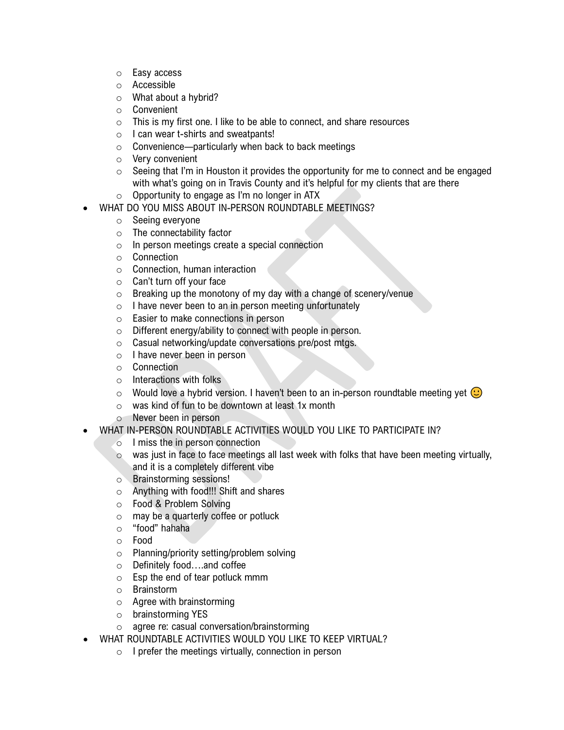- o Easy access
- o Accessible
- o What about a hybrid?
- o Convenient
- o This is my first one. I like to be able to connect, and share resources
- o I can wear t-shirts and sweatpants!
- o Convenience—particularly when back to back meetings
- o Very convenient
- $\circ$  Seeing that I'm in Houston it provides the opportunity for me to connect and be engaged with what's going on in Travis County and it's helpful for my clients that are there
- $\circ$  Opportunity to engage as I'm no longer in ATX
- WHAT DO YOU MISS ABOUT IN-PERSON ROUNDTABLE MEETINGS?
	- o Seeing everyone
	- o The connectability factor
	- o In person meetings create a special connection
	- o Connection
	- o Connection, human interaction
	- o Can't turn off your face
	- $\circ$  Breaking up the monotony of my day with a change of scenery/venue
	- $\circ$  I have never been to an in person meeting unfortunately
	- $\circ$  Easier to make connections in person<br> $\circ$  Different energy/ability to connect with
	- Different energy/ability to connect with people in person.
	- $\circ$  Casual networking/update conversations pre/post mtgs.<br> $\circ$  I have never been in person
	- I have never been in person
	- Connection<br>○ Interactions
	- Interactions with folks
	- $\circ$  Would love a hybrid version. I haven't been to an in-person roundtable meeting yet  $\odot$
	- o was kind of fun to be downtown at least 1x month
	- o Never been in person
- WHAT IN-PERSON ROUNDTABLE ACTIVITIES WOULD YOU LIKE TO PARTICIPATE IN?
	- o I miss the in person connection
	- $\circ$  was just in face to face meetings all last week with folks that have been meeting virtually, and it is a completely different vibe
	- o Brainstorming sessions!
	- o Anything with food!!! Shift and shares
	- o Food & Problem Solving
	- o may be a quarterly coffee or potluck
	- o "food" hahaha
	- Food
	- o Planning/priority setting/problem solving
	- o Definitely food….and coffee
	- o Esp the end of tear potluck mmm
	- o Brainstorm
	- o Agree with brainstorming
	- o brainstorming YES
	- o agree re: casual conversation/brainstorming
- WHAT ROUNDTABLE ACTIVITIES WOULD YOU LIKE TO KEEP VIRTUAL?
	- o I prefer the meetings virtually, connection in person